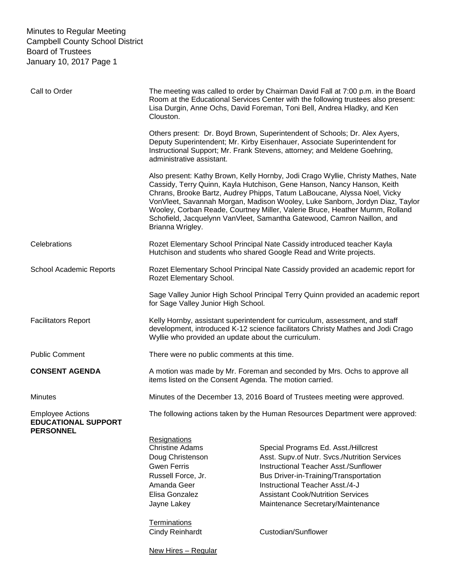| Call to Order                                                             | Clouston.                                                                                                                                                                                                                      | The meeting was called to order by Chairman David Fall at 7:00 p.m. in the Board<br>Room at the Educational Services Center with the following trustees also present:<br>Lisa Durgin, Anne Ochs, David Foreman, Toni Bell, Andrea Hladky, and Ken                                                                                                                                                                                                                                |
|---------------------------------------------------------------------------|--------------------------------------------------------------------------------------------------------------------------------------------------------------------------------------------------------------------------------|----------------------------------------------------------------------------------------------------------------------------------------------------------------------------------------------------------------------------------------------------------------------------------------------------------------------------------------------------------------------------------------------------------------------------------------------------------------------------------|
|                                                                           | administrative assistant.                                                                                                                                                                                                      | Others present: Dr. Boyd Brown, Superintendent of Schools; Dr. Alex Ayers,<br>Deputy Superintendent; Mr. Kirby Eisenhauer, Associate Superintendent for<br>Instructional Support; Mr. Frank Stevens, attorney; and Meldene Goehring,                                                                                                                                                                                                                                             |
|                                                                           | Brianna Wrigley.                                                                                                                                                                                                               | Also present: Kathy Brown, Kelly Hornby, Jodi Crago Wyllie, Christy Mathes, Nate<br>Cassidy, Terry Quinn, Kayla Hutchison, Gene Hanson, Nancy Hanson, Keith<br>Chrans, Brooke Bartz, Audrey Phipps, Tatum LaBoucane, Alyssa Noel, Vicky<br>VonVleet, Savannah Morgan, Madison Wooley, Luke Sanborn, Jordyn Diaz, Taylor<br>Wooley, Corban Reade, Courtney Miller, Valerie Bruce, Heather Mumm, Rolland<br>Schofield, Jacquelynn VanVleet, Samantha Gatewood, Camron Naillon, and |
| Celebrations                                                              |                                                                                                                                                                                                                                | Rozet Elementary School Principal Nate Cassidy introduced teacher Kayla<br>Hutchison and students who shared Google Read and Write projects.                                                                                                                                                                                                                                                                                                                                     |
| School Academic Reports                                                   | Rozet Elementary School Principal Nate Cassidy provided an academic report for<br>Rozet Elementary School.                                                                                                                     |                                                                                                                                                                                                                                                                                                                                                                                                                                                                                  |
|                                                                           | for Sage Valley Junior High School.                                                                                                                                                                                            | Sage Valley Junior High School Principal Terry Quinn provided an academic report                                                                                                                                                                                                                                                                                                                                                                                                 |
| <b>Facilitators Report</b>                                                | Wyllie who provided an update about the curriculum.                                                                                                                                                                            | Kelly Hornby, assistant superintendent for curriculum, assessment, and staff<br>development, introduced K-12 science facilitators Christy Mathes and Jodi Crago                                                                                                                                                                                                                                                                                                                  |
| <b>Public Comment</b>                                                     | There were no public comments at this time.                                                                                                                                                                                    |                                                                                                                                                                                                                                                                                                                                                                                                                                                                                  |
| <b>CONSENT AGENDA</b>                                                     | items listed on the Consent Agenda. The motion carried.                                                                                                                                                                        | A motion was made by Mr. Foreman and seconded by Mrs. Ochs to approve all                                                                                                                                                                                                                                                                                                                                                                                                        |
| <b>Minutes</b>                                                            |                                                                                                                                                                                                                                | Minutes of the December 13, 2016 Board of Trustees meeting were approved.                                                                                                                                                                                                                                                                                                                                                                                                        |
| <b>Employee Actions</b><br><b>EDUCATIONAL SUPPORT</b><br><b>PERSONNEL</b> |                                                                                                                                                                                                                                | The following actions taken by the Human Resources Department were approved:                                                                                                                                                                                                                                                                                                                                                                                                     |
|                                                                           | <b>Resignations</b><br><b>Christine Adams</b><br>Doug Christenson<br><b>Gwen Ferris</b><br>Russell Force, Jr.<br>Amanda Geer<br>Elisa Gonzalez<br>Jayne Lakey<br>Terminations<br><b>Cindy Reinhardt</b><br>New Hires - Regular | Special Programs Ed. Asst./Hillcrest<br>Asst. Supv.of Nutr. Svcs./Nutrition Services<br>Instructional Teacher Asst./Sunflower<br><b>Bus Driver-in-Training/Transportation</b><br>Instructional Teacher Asst./4-J<br><b>Assistant Cook/Nutrition Services</b><br>Maintenance Secretary/Maintenance<br>Custodian/Sunflower                                                                                                                                                         |
|                                                                           |                                                                                                                                                                                                                                |                                                                                                                                                                                                                                                                                                                                                                                                                                                                                  |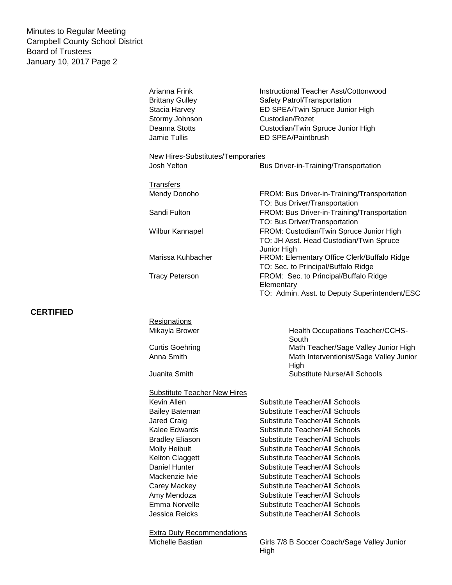**CERTIFIED**

| Arianna Frink<br><b>Brittany Gulley</b><br>Stacia Harvey<br>Stormy Johnson<br>Deanna Stotts<br><b>Jamie Tullis</b> | <b>Instructional Teacher Asst/Cottonwood</b><br>Safety Patrol/Transportation<br>ED SPEA/Twin Spruce Junior High<br>Custodian/Rozet<br>Custodian/Twin Spruce Junior High<br>ED SPEA/Paintbrush |  |  |  |
|--------------------------------------------------------------------------------------------------------------------|-----------------------------------------------------------------------------------------------------------------------------------------------------------------------------------------------|--|--|--|
| New Hires-Substitutes/Temporaries                                                                                  |                                                                                                                                                                                               |  |  |  |
| Josh Yelton                                                                                                        | Bus Driver-in-Training/Transportation                                                                                                                                                         |  |  |  |
| <b>Transfers</b><br>Mendy Donoho                                                                                   | FROM: Bus Driver-in-Training/Transportation<br>TO: Bus Driver/Transportation                                                                                                                  |  |  |  |
| Sandi Fulton                                                                                                       | FROM: Bus Driver-in-Training/Transportation<br>TO: Bus Driver/Transportation                                                                                                                  |  |  |  |
| <b>Wilbur Kannapel</b>                                                                                             | FROM: Custodian/Twin Spruce Junior High<br>TO: JH Asst. Head Custodian/Twin Spruce<br>Junior High                                                                                             |  |  |  |
| Marissa Kuhbacher                                                                                                  | FROM: Elementary Office Clerk/Buffalo Ridge<br>TO: Sec. to Principal/Buffalo Ridge                                                                                                            |  |  |  |
| <b>Tracy Peterson</b>                                                                                              | FROM: Sec. to Principal/Buffalo Ridge<br>Elementary<br>TO: Admin. Asst. to Deputy Superintendent/ESC                                                                                          |  |  |  |
| Resignations<br>Mikayla Brower                                                                                     | Health Occupations Teacher/CCHS-<br>South                                                                                                                                                     |  |  |  |
| <b>Curtis Goehring</b><br>Anna Smith                                                                               | Math Teacher/Sage Valley Junior High<br>Math Interventionist/Sage Valley Junior<br>High                                                                                                       |  |  |  |
| Juanita Smith                                                                                                      | Substitute Nurse/All Schools                                                                                                                                                                  |  |  |  |
| <b>Substitute Teacher New Hires</b>                                                                                |                                                                                                                                                                                               |  |  |  |
| Kevin Allen<br><b>Bailey Bateman</b>                                                                               | Substitute Teacher/All Schools<br>Substitute Teacher/All Schools                                                                                                                              |  |  |  |
|                                                                                                                    |                                                                                                                                                                                               |  |  |  |

Jessica Reicks Substitute Teacher/All Schools

Jared Craig **Substitute Teacher/All Schools** Kalee Edwards Substitute Teacher/All Schools Bradley Eliason Substitute Teacher/All Schools Molly Heibult **Substitute Teacher/All Schools** Kelton Claggett Substitute Teacher/All Schools Daniel Hunter Substitute Teacher/All Schools Mackenzie Ivie **Substitute Teacher/All Schools** Carey Mackey **Substitute Teacher/All Schools** Amy Mendoza **Substitute Teacher/All Schools** Emma Norvelle Substitute Teacher/All Schools

Extra Duty Recommendations

Michelle Bastian Girls 7/8 B Soccer Coach/Sage Valley Junior High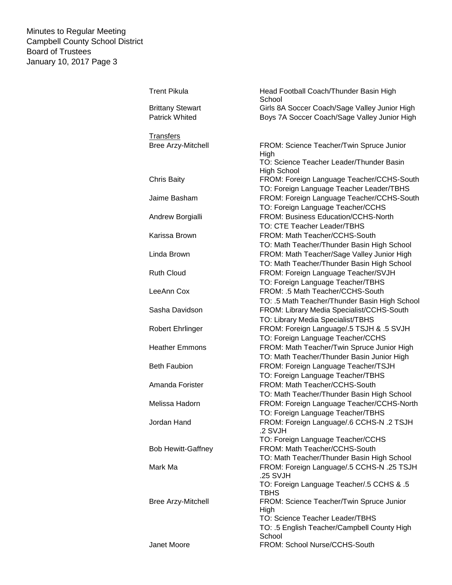| <b>Trent Pikula</b>       | Head Football Coach/Thunder Basin High<br>School      |
|---------------------------|-------------------------------------------------------|
| <b>Brittany Stewart</b>   | Girls 8A Soccer Coach/Sage Valley Junior High         |
| <b>Patrick Whited</b>     | Boys 7A Soccer Coach/Sage Valley Junior High          |
|                           |                                                       |
| <b>Transfers</b>          |                                                       |
| <b>Bree Arzy-Mitchell</b> | FROM: Science Teacher/Twin Spruce Junior              |
|                           | High<br>TO: Science Teacher Leader/Thunder Basin      |
|                           | <b>High School</b>                                    |
| Chris Baity               | FROM: Foreign Language Teacher/CCHS-South             |
|                           | TO: Foreign Language Teacher Leader/TBHS              |
| Jaime Basham              | FROM: Foreign Language Teacher/CCHS-South             |
|                           | TO: Foreign Language Teacher/CCHS                     |
| Andrew Borgialli          | FROM: Business Education/CCHS-North                   |
|                           | TO: CTE Teacher Leader/TBHS                           |
| Karissa Brown             | FROM: Math Teacher/CCHS-South                         |
|                           | TO: Math Teacher/Thunder Basin High School            |
| Linda Brown               | FROM: Math Teacher/Sage Valley Junior High            |
|                           | TO: Math Teacher/Thunder Basin High School            |
| <b>Ruth Cloud</b>         | FROM: Foreign Language Teacher/SVJH                   |
|                           | TO: Foreign Language Teacher/TBHS                     |
| LeeAnn Cox                | FROM: .5 Math Teacher/CCHS-South                      |
|                           | TO: .5 Math Teacher/Thunder Basin High School         |
| Sasha Davidson            | FROM: Library Media Specialist/CCHS-South             |
|                           | TO: Library Media Specialist/TBHS                     |
| Robert Ehrlinger          | FROM: Foreign Language/.5 TSJH & .5 SVJH              |
|                           | TO: Foreign Language Teacher/CCHS                     |
| <b>Heather Emmons</b>     | FROM: Math Teacher/Twin Spruce Junior High            |
|                           | TO: Math Teacher/Thunder Basin Junior High            |
| <b>Beth Faubion</b>       | FROM: Foreign Language Teacher/TSJH                   |
|                           | TO: Foreign Language Teacher/TBHS                     |
| Amanda Forister           | FROM: Math Teacher/CCHS-South                         |
|                           | TO: Math Teacher/Thunder Basin High School            |
| Melissa Hadorn            | FROM: Foreign Language Teacher/CCHS-North             |
|                           | TO: Foreign Language Teacher/TBHS                     |
| Jordan Hand               | FROM: Foreign Language/.6 CCHS-N .2 TSJH              |
|                           | .2 SVJH                                               |
|                           | TO: Foreign Language Teacher/CCHS                     |
| <b>Bob Hewitt-Gaffney</b> | FROM: Math Teacher/CCHS-South                         |
|                           | TO: Math Teacher/Thunder Basin High School            |
| Mark Ma                   | FROM: Foreign Language/.5 CCHS-N .25 TSJH             |
|                           | .25 SVJH                                              |
|                           | TO: Foreign Language Teacher/.5 CCHS & .5             |
|                           | <b>TBHS</b>                                           |
| Bree Arzy-Mitchell        | FROM: Science Teacher/Twin Spruce Junior              |
|                           | High                                                  |
|                           | TO: Science Teacher Leader/TBHS                       |
|                           | TO: .5 English Teacher/Campbell County High<br>School |
| Janet Moore               | FROM: School Nurse/CCHS-South                         |
|                           |                                                       |
|                           |                                                       |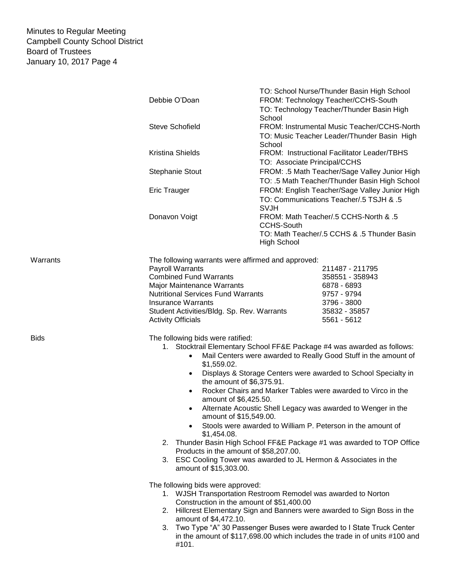|             |                                                                                                                                                         | TO: School Nurse/Thunder Basin High School                                  |  |
|-------------|---------------------------------------------------------------------------------------------------------------------------------------------------------|-----------------------------------------------------------------------------|--|
|             | Debbie O'Doan                                                                                                                                           | FROM: Technology Teacher/CCHS-South                                         |  |
|             |                                                                                                                                                         | TO: Technology Teacher/Thunder Basin High                                   |  |
|             |                                                                                                                                                         | School                                                                      |  |
|             | <b>Steve Schofield</b>                                                                                                                                  | FROM: Instrumental Music Teacher/CCHS-North                                 |  |
|             |                                                                                                                                                         | TO: Music Teacher Leader/Thunder Basin High<br>School                       |  |
|             | Kristina Shields                                                                                                                                        | FROM: Instructional Facilitator Leader/TBHS                                 |  |
|             |                                                                                                                                                         | TO: Associate Principal/CCHS                                                |  |
|             | <b>Stephanie Stout</b>                                                                                                                                  | FROM: .5 Math Teacher/Sage Valley Junior High                               |  |
|             |                                                                                                                                                         | TO: .5 Math Teacher/Thunder Basin High School                               |  |
|             | <b>Eric Trauger</b>                                                                                                                                     | FROM: English Teacher/Sage Valley Junior High                               |  |
|             |                                                                                                                                                         | TO: Communications Teacher/.5 TSJH & .5<br><b>SVJH</b>                      |  |
|             | Donavon Voigt                                                                                                                                           | FROM: Math Teacher/.5 CCHS-North & .5                                       |  |
|             |                                                                                                                                                         | <b>CCHS-South</b>                                                           |  |
|             |                                                                                                                                                         | TO: Math Teacher/.5 CCHS & .5 Thunder Basin                                 |  |
|             |                                                                                                                                                         | <b>High School</b>                                                          |  |
|             |                                                                                                                                                         |                                                                             |  |
| Warrants    | The following warrants were affirmed and approved:                                                                                                      |                                                                             |  |
|             | <b>Payroll Warrants</b>                                                                                                                                 | 211487 - 211795                                                             |  |
|             | <b>Combined Fund Warrants</b>                                                                                                                           | 358551 - 358943                                                             |  |
|             | Major Maintenance Warrants                                                                                                                              | 6878 - 6893                                                                 |  |
|             | <b>Nutritional Services Fund Warrants</b>                                                                                                               | 9757 - 9794                                                                 |  |
|             | <b>Insurance Warrants</b>                                                                                                                               | 3796 - 3800                                                                 |  |
|             | Student Activities/Bldg. Sp. Rev. Warrants                                                                                                              | 35832 - 35857                                                               |  |
|             | <b>Activity Officials</b>                                                                                                                               | 5561 - 5612                                                                 |  |
| <b>Bids</b> | The following bids were ratified:                                                                                                                       |                                                                             |  |
|             | 1. Stocktrail Elementary School FF&E Package #4 was awarded as follows:<br>Mail Centers were awarded to Really Good Stuff in the amount of<br>$\bullet$ |                                                                             |  |
|             | \$1,559.02.<br>$\bullet$                                                                                                                                | Displays & Storage Centers were awarded to School Specialty in              |  |
|             | the amount of \$6,375.91.<br>$\bullet$                                                                                                                  | Rocker Chairs and Marker Tables were awarded to Virco in the                |  |
|             | amount of \$6,425.50.                                                                                                                                   |                                                                             |  |
|             | $\bullet$<br>amount of \$15,549.00.                                                                                                                     | Alternate Acoustic Shell Legacy was awarded to Wenger in the                |  |
|             | $\bullet$<br>\$1,454.08.                                                                                                                                | Stools were awarded to William P. Peterson in the amount of                 |  |
|             | 2. Thunder Basin High School FF&E Package #1 was awarded to TOP Office                                                                                  |                                                                             |  |
|             | Products in the amount of \$58,207.00.<br>3. ESC Cooling Tower was awarded to JL Hermon & Associates in the                                             |                                                                             |  |
|             | amount of \$15,303.00.                                                                                                                                  |                                                                             |  |
|             | The following bids were approved:                                                                                                                       |                                                                             |  |
|             |                                                                                                                                                         | 1. WJSH Transportation Restroom Remodel was awarded to Norton               |  |
|             | Construction in the amount of \$51,400.00                                                                                                               |                                                                             |  |
|             |                                                                                                                                                         | 2. Hillcrest Elementary Sign and Banners were awarded to Sign Boss in the   |  |
|             | amount of \$4,472.10.                                                                                                                                   |                                                                             |  |
|             | 3.                                                                                                                                                      | Two Type "A" 30 Passenger Buses were awarded to I State Truck Center        |  |
|             | #101.                                                                                                                                                   | in the amount of \$117,698.00 which includes the trade in of units #100 and |  |
|             |                                                                                                                                                         |                                                                             |  |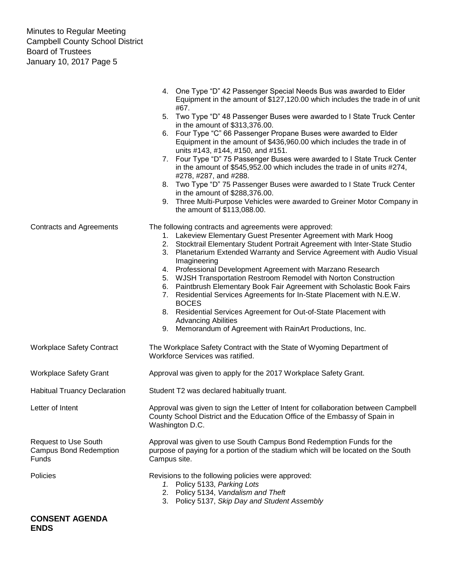|                                                                              | 4. One Type "D" 42 Passenger Special Needs Bus was awarded to Elder<br>Equipment in the amount of \$127,120.00 which includes the trade in of unit<br>#67.                                                                                                                                                                                                                                                                                                                                                                                                                                                                                                                                                                                                                          |  |
|------------------------------------------------------------------------------|-------------------------------------------------------------------------------------------------------------------------------------------------------------------------------------------------------------------------------------------------------------------------------------------------------------------------------------------------------------------------------------------------------------------------------------------------------------------------------------------------------------------------------------------------------------------------------------------------------------------------------------------------------------------------------------------------------------------------------------------------------------------------------------|--|
|                                                                              | 5. Two Type "D" 48 Passenger Buses were awarded to I State Truck Center<br>in the amount of \$313,376.00.                                                                                                                                                                                                                                                                                                                                                                                                                                                                                                                                                                                                                                                                           |  |
|                                                                              | 6. Four Type "C" 66 Passenger Propane Buses were awarded to Elder<br>Equipment in the amount of \$436,960.00 which includes the trade in of<br>units #143, #144, #150, and #151.                                                                                                                                                                                                                                                                                                                                                                                                                                                                                                                                                                                                    |  |
|                                                                              | 7. Four Type "D" 75 Passenger Buses were awarded to I State Truck Center<br>in the amount of \$545,952.00 which includes the trade in of units #274,<br>#278, #287, and #288.                                                                                                                                                                                                                                                                                                                                                                                                                                                                                                                                                                                                       |  |
|                                                                              | 8. Two Type "D" 75 Passenger Buses were awarded to I State Truck Center                                                                                                                                                                                                                                                                                                                                                                                                                                                                                                                                                                                                                                                                                                             |  |
|                                                                              | in the amount of \$288,376.00.<br>Three Multi-Purpose Vehicles were awarded to Greiner Motor Company in<br>9.<br>the amount of \$113,088.00.                                                                                                                                                                                                                                                                                                                                                                                                                                                                                                                                                                                                                                        |  |
| <b>Contracts and Agreements</b>                                              | The following contracts and agreements were approved:<br>1. Lakeview Elementary Guest Presenter Agreement with Mark Hoog<br>2. Stocktrail Elementary Student Portrait Agreement with Inter-State Studio<br>3. Planetarium Extended Warranty and Service Agreement with Audio Visual<br>Imagineering<br>4. Professional Development Agreement with Marzano Research<br>WJSH Transportation Restroom Remodel with Norton Construction<br>5.<br>Paintbrush Elementary Book Fair Agreement with Scholastic Book Fairs<br>6.<br>Residential Services Agreements for In-State Placement with N.E.W.<br>7.<br><b>BOCES</b><br>8. Residential Services Agreement for Out-of-State Placement with<br><b>Advancing Abilities</b><br>9. Memorandum of Agreement with RainArt Productions, Inc. |  |
| <b>Workplace Safety Contract</b>                                             | The Workplace Safety Contract with the State of Wyoming Department of<br>Workforce Services was ratified.                                                                                                                                                                                                                                                                                                                                                                                                                                                                                                                                                                                                                                                                           |  |
| <b>Workplace Safety Grant</b>                                                | Approval was given to apply for the 2017 Workplace Safety Grant.                                                                                                                                                                                                                                                                                                                                                                                                                                                                                                                                                                                                                                                                                                                    |  |
| <b>Habitual Truancy Declaration</b>                                          | Student T2 was declared habitually truant.                                                                                                                                                                                                                                                                                                                                                                                                                                                                                                                                                                                                                                                                                                                                          |  |
| Letter of Intent                                                             | Approval was given to sign the Letter of Intent for collaboration between Campbell<br>County School District and the Education Office of the Embassy of Spain in<br>Washington D.C.                                                                                                                                                                                                                                                                                                                                                                                                                                                                                                                                                                                                 |  |
| <b>Request to Use South</b><br><b>Campus Bond Redemption</b><br><b>Funds</b> | Approval was given to use South Campus Bond Redemption Funds for the<br>purpose of paying for a portion of the stadium which will be located on the South<br>Campus site.                                                                                                                                                                                                                                                                                                                                                                                                                                                                                                                                                                                                           |  |
| Policies                                                                     | Revisions to the following policies were approved:<br>1. Policy 5133, Parking Lots<br>2. Policy 5134, Vandalism and Theft<br>3. Policy 5137, Skip Day and Student Assembly                                                                                                                                                                                                                                                                                                                                                                                                                                                                                                                                                                                                          |  |
| <b>CONSENT AGENDA</b>                                                        |                                                                                                                                                                                                                                                                                                                                                                                                                                                                                                                                                                                                                                                                                                                                                                                     |  |

## **ENDS**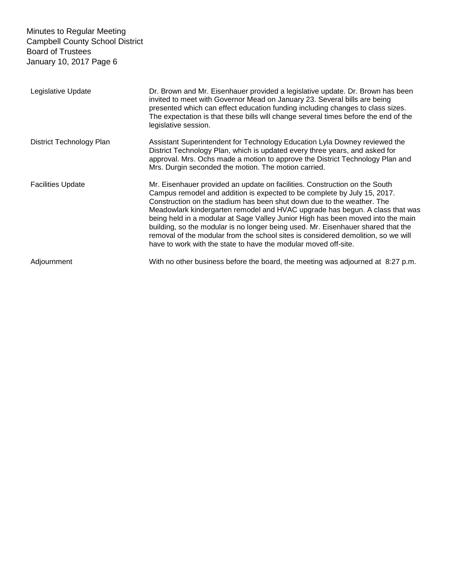| Legislative Update       | Dr. Brown and Mr. Eisenhauer provided a legislative update. Dr. Brown has been<br>invited to meet with Governor Mead on January 23. Several bills are being<br>presented which can effect education funding including changes to class sizes.<br>The expectation is that these bills will change several times before the end of the<br>legislative session.                                                                                                                                                                                                                                                                                    |
|--------------------------|-------------------------------------------------------------------------------------------------------------------------------------------------------------------------------------------------------------------------------------------------------------------------------------------------------------------------------------------------------------------------------------------------------------------------------------------------------------------------------------------------------------------------------------------------------------------------------------------------------------------------------------------------|
| District Technology Plan | Assistant Superintendent for Technology Education Lyla Downey reviewed the<br>District Technology Plan, which is updated every three years, and asked for<br>approval. Mrs. Ochs made a motion to approve the District Technology Plan and<br>Mrs. Durgin seconded the motion. The motion carried.                                                                                                                                                                                                                                                                                                                                              |
| <b>Facilities Update</b> | Mr. Eisenhauer provided an update on facilities. Construction on the South<br>Campus remodel and addition is expected to be complete by July 15, 2017.<br>Construction on the stadium has been shut down due to the weather. The<br>Meadowlark kindergarten remodel and HVAC upgrade has begun. A class that was<br>being held in a modular at Sage Valley Junior High has been moved into the main<br>building, so the modular is no longer being used. Mr. Eisenhauer shared that the<br>removal of the modular from the school sites is considered demolition, so we will<br>have to work with the state to have the modular moved off-site. |
| Adjournment              | With no other business before the board, the meeting was adjourned at 8:27 p.m.                                                                                                                                                                                                                                                                                                                                                                                                                                                                                                                                                                 |